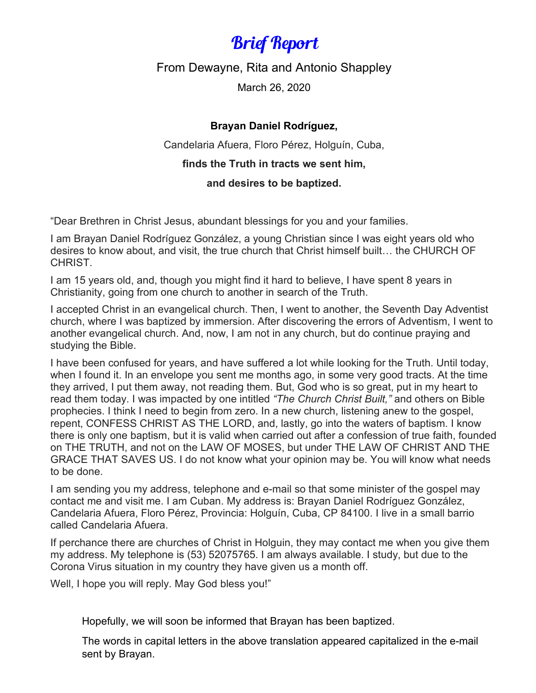## Brief Report

From Dewayne, Rita and Antonio Shappley

March 26, 2020

## **Brayan Daniel Rodríguez,**

Candelaria Afuera, Floro Pérez, Holguín, Cuba,

## **finds the Truth in tracts we sent him,**

## **and desires to be baptized.**

"Dear Brethren in Christ Jesus, abundant blessings for you and your families.

I am Brayan Daniel Rodríguez González, a young Christian since I was eight years old who desires to know about, and visit, the true church that Christ himself built… the CHURCH OF CHRIST.

I am 15 years old, and, though you might find it hard to believe, I have spent 8 years in Christianity, going from one church to another in search of the Truth.

I accepted Christ in an evangelical church. Then, I went to another, the Seventh Day Adventist church, where I was baptized by immersion. After discovering the errors of Adventism, I went to another evangelical church. And, now, I am not in any church, but do continue praying and studying the Bible.

I have been confused for years, and have suffered a lot while looking for the Truth. Until today, when I found it. In an envelope you sent me months ago, in some very good tracts. At the time they arrived, I put them away, not reading them. But, God who is so great, put in my heart to read them today. I was impacted by one intitled *"The Church Christ Built,"* and others on Bible prophecies. I think I need to begin from zero. In a new church, listening anew to the gospel, repent, CONFESS CHRIST AS THE LORD, and, lastly, go into the waters of baptism. I know there is only one baptism, but it is valid when carried out after a confession of true faith, founded on THE TRUTH, and not on the LAW OF MOSES, but under THE LAW OF CHRIST AND THE GRACE THAT SAVES US. I do not know what your opinion may be. You will know what needs to be done.

I am sending you my address, telephone and e-mail so that some minister of the gospel may contact me and visit me. I am Cuban. My address is: Brayan Daniel Rodríguez González, Candelaria Afuera, Floro Pérez, Provincia: Holguín, Cuba, CP 84100. I live in a small barrio called Candelaria Afuera.

If perchance there are churches of Christ in Holguin, they may contact me when you give them my address. My telephone is (53) 52075765. I am always available. I study, but due to the Corona Virus situation in my country they have given us a month off.

Well, I hope you will reply. May God bless you!"

Hopefully, we will soon be informed that Brayan has been baptized.

The words in capital letters in the above translation appeared capitalized in the e-mail sent by Brayan.